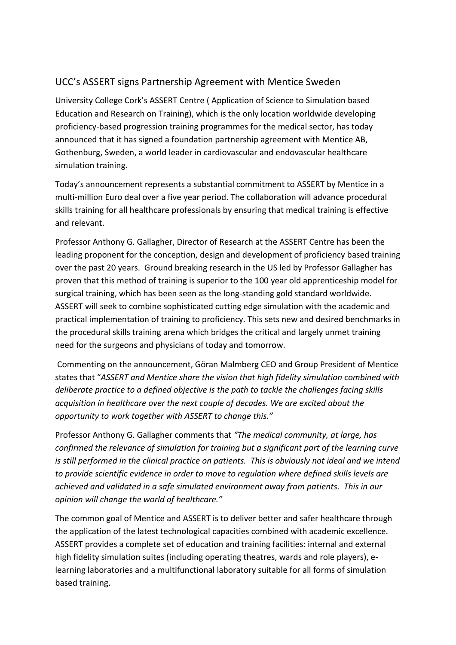## UCC's ASSERT signs Partnership Agreement with Mentice Sweden

University College Cork's ASSERT Centre ( Application of Science to Simulation based Education and Research on Training), which is the only location worldwide developing proficiency-based progression training programmes for the medical sector, has today announced that it has signed a foundation partnership agreement with Mentice AB, Gothenburg, Sweden, a world leader in cardiovascular and endovascular healthcare simulation training.

Today's announcement represents a substantial commitment to ASSERT by Mentice in a multi-million Euro deal over a five year period. The collaboration will advance procedural skills training for all healthcare professionals by ensuring that medical training is effective and relevant.

Professor Anthony G. Gallagher, Director of Research at the ASSERT Centre has been the leading proponent for the conception, design and development of proficiency based training over the past 20 years. Ground breaking research in the US led by Professor Gallagher has proven that this method of training is superior to the 100 year old apprenticeship model for surgical training, which has been seen as the long-standing gold standard worldwide. ASSERT will seek to combine sophisticated cutting edge simulation with the academic and practical implementation of training to proficiency. This sets new and desired benchmarks in the procedural skills training arena which bridges the critical and largely unmet training need for the surgeons and physicians of today and tomorrow.

Commenting on the announcement, Göran Malmberg CEO and Group President of Mentice states that "*ASSERT and Mentice share the vision that high fidelity simulation combined with deliberate practice to a defined objective is the path to tackle the challenges facing skills acquisition in healthcare over the next couple of decades. We are excited about the opportunity to work together with ASSERT to change this."*

Professor Anthony G. Gallagher comments that *"The medical community, at large, has confirmed the relevance of simulation for training but a significant part of the learning curve is still performed in the clinical practice on patients. This is obviously not ideal and we intend to provide scientific evidence in order to move to regulation where defined skills levels are achieved and validated in a safe simulated environment away from patients. This in our opinion will change the world of healthcare."*

The common goal of Mentice and ASSERT is to deliver better and safer healthcare through the application of the latest technological capacities combined with academic excellence. ASSERT provides a complete set of education and training facilities: internal and external high fidelity simulation suites (including operating theatres, wards and role players), elearning laboratories and a multifunctional laboratory suitable for all forms of simulation based training.